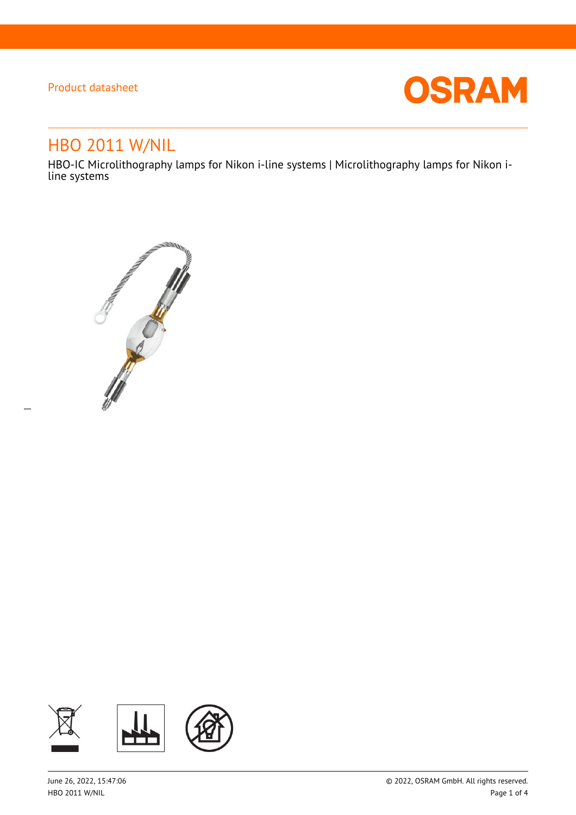$\overline{a}$ 



# HBO 2011 W/NIL

HBO-IC Microlithography lamps for Nikon i-line systems | Microlithography lamps for Nikon iline systems



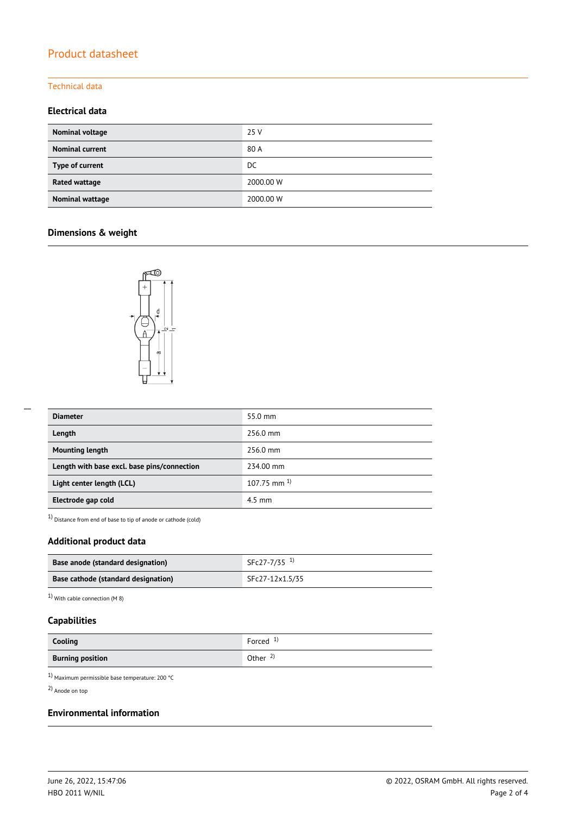#### Technical data

### **Electrical data**

| Nominal voltage        | 25 V      |
|------------------------|-----------|
| <b>Nominal current</b> | 80 A      |
| Type of current        | DC        |
| Rated wattage          | 2000.00 W |
| Nominal wattage        | 2000.00 W |

### **Dimensions & weight**



| <b>Diameter</b>                             | 55.0 mm            |
|---------------------------------------------|--------------------|
| Length                                      | 256.0 mm           |
| <b>Mounting length</b>                      | 256.0 mm           |
| Length with base excl. base pins/connection | 234.00 mm          |
| Light center length (LCL)                   | $107.75$ mm $^{1}$ |
| Electrode gap cold                          | $4.5$ mm           |

1) Distance from end of base to tip of anode or cathode (cold)

### **Additional product data**

| Base anode (standard designation)   | SFc27-7/35 <sup>1)</sup> |
|-------------------------------------|--------------------------|
| Base cathode (standard designation) | SFc27-12x1.5/35          |

1) With cable connection (M 8)

### **Capabilities**

| Cooling                 | Forced $1$          |
|-------------------------|---------------------|
| <b>Burning position</b> | Other $\frac{2}{3}$ |

 $^{1)}$  Maximum permissible base temperature: 200  $^{\circ}$ C

2) Anode on top

### **Environmental information**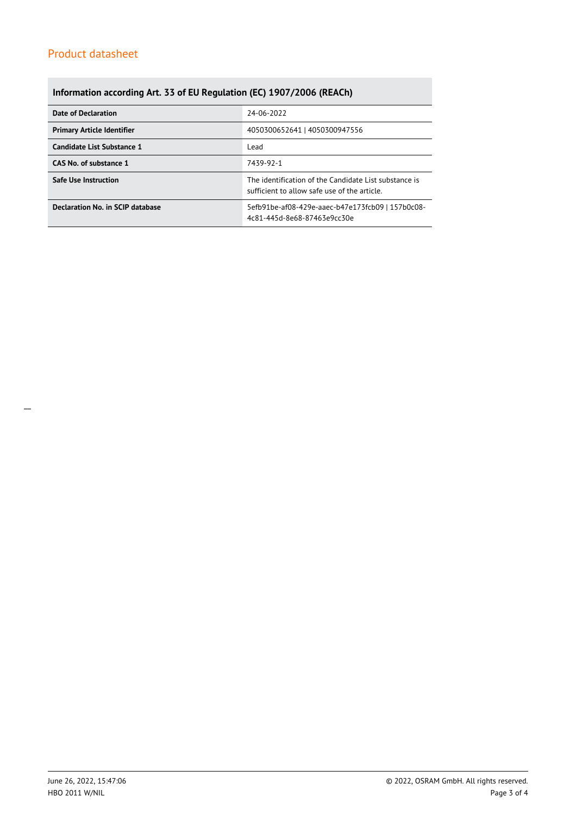# **Information according Art. 33 of EU Regulation (EC) 1907/2006 (REACh)**

| <b>Date of Declaration</b>        | 24-06-2022                                                                                            |  |  |
|-----------------------------------|-------------------------------------------------------------------------------------------------------|--|--|
| <b>Primary Article Identifier</b> | 4050300652641   4050300947556                                                                         |  |  |
| Candidate List Substance 1        | Lead                                                                                                  |  |  |
| CAS No. of substance 1            | 7439-92-1                                                                                             |  |  |
| <b>Safe Use Instruction</b>       | The identification of the Candidate List substance is<br>sufficient to allow safe use of the article. |  |  |
| Declaration No. in SCIP database  | 5efb91be-af08-429e-aaec-b47e173fcb09   157b0c08-<br>4c81-445d-8e68-87463e9cc30e                       |  |  |